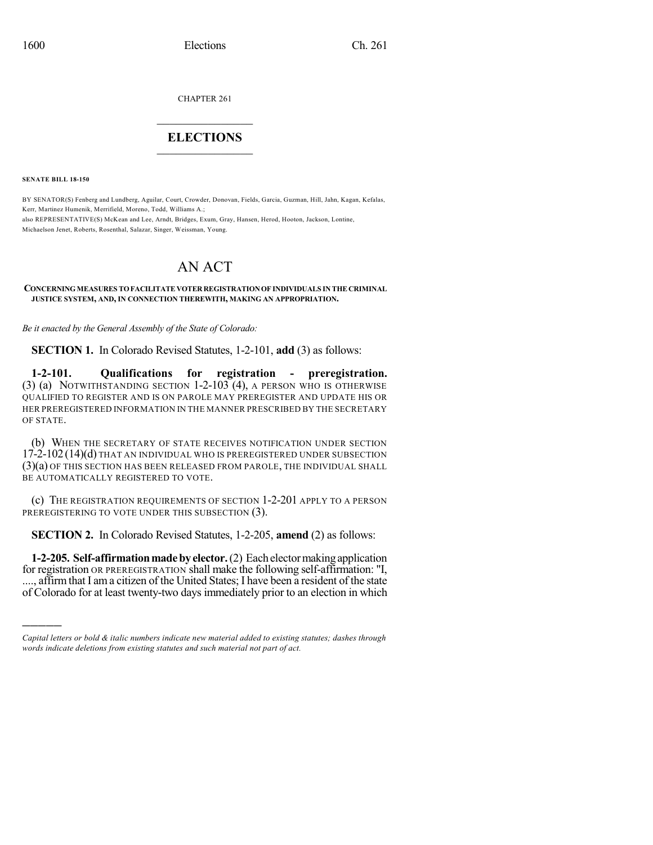CHAPTER 261

## $\mathcal{L}_\text{max}$  . The set of the set of the set of the set of the set of the set of the set of the set of the set of the set of the set of the set of the set of the set of the set of the set of the set of the set of the set **ELECTIONS**  $\_$

**SENATE BILL 18-150**

)))))

BY SENATOR(S) Fenberg and Lundberg, Aguilar, Court, Crowder, Donovan, Fields, Garcia, Guzman, Hill, Jahn, Kagan, Kefalas, Kerr, Martinez Humenik, Merrifield, Moreno, Todd, Williams A.; also REPRESENTATIVE(S) McKean and Lee, Arndt, Bridges, Exum, Gray, Hansen, Herod, Hooton, Jackson, Lontine, Michaelson Jenet, Roberts, Rosenthal, Salazar, Singer, Weissman, Young.

## AN ACT

## **CONCERNINGMEASURES TOFACILITATEVOTERREGISTRATIONOF INDIVIDUALS IN THE CRIMINAL JUSTICE SYSTEM, AND, IN CONNECTION THEREWITH, MAKING AN APPROPRIATION.**

*Be it enacted by the General Assembly of the State of Colorado:*

**SECTION 1.** In Colorado Revised Statutes, 1-2-101, **add** (3) as follows:

**1-2-101. Qualifications for registration - preregistration.** (3) (a) NOTWITHSTANDING SECTION 1-2-103 (4), A PERSON WHO IS OTHERWISE QUALIFIED TO REGISTER AND IS ON PAROLE MAY PREREGISTER AND UPDATE HIS OR HER PREREGISTERED INFORMATION IN THE MANNER PRESCRIBED BY THE SECRETARY OF STATE.

(b) WHEN THE SECRETARY OF STATE RECEIVES NOTIFICATION UNDER SECTION 17-2-102 (14)(d) THAT AN INDIVIDUAL WHO IS PREREGISTERED UNDER SUBSECTION (3)(a) OF THIS SECTION HAS BEEN RELEASED FROM PAROLE, THE INDIVIDUAL SHALL BE AUTOMATICALLY REGISTERED TO VOTE.

(c) THE REGISTRATION REQUIREMENTS OF SECTION 1-2-201 APPLY TO A PERSON PREREGISTERING TO VOTE UNDER THIS SUBSECTION (3).

**SECTION 2.** In Colorado Revised Statutes, 1-2-205, **amend** (2) as follows:

**1-2-205. Self-affirmation made by elector.** (2) Each elector making application for registration OR PREREGISTRATION shall make the following self-affirmation: "I, ...., affirm that I am a citizen of the United States; I have been a resident of the state of Colorado for at least twenty-two days immediately prior to an election in which

*Capital letters or bold & italic numbers indicate new material added to existing statutes; dashes through words indicate deletions from existing statutes and such material not part of act.*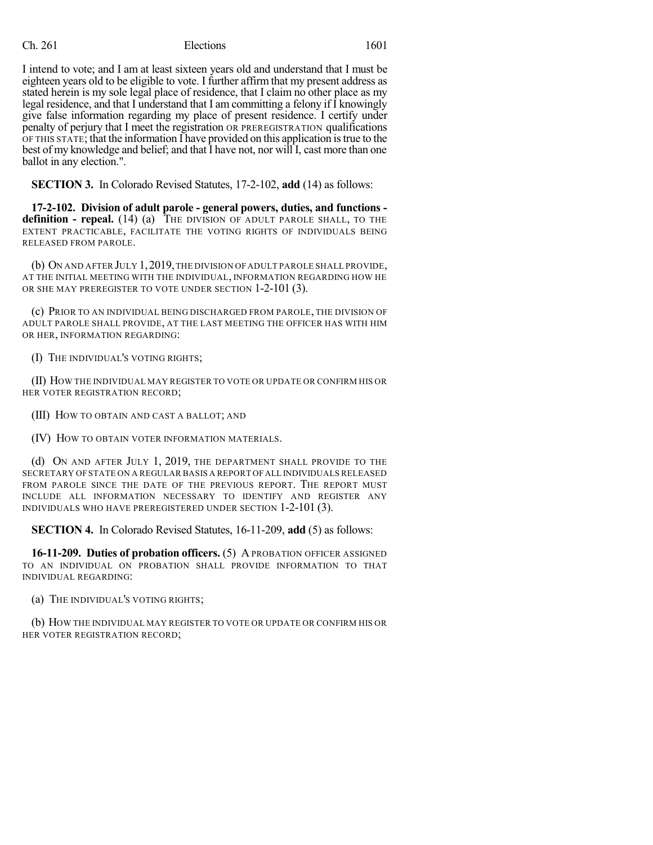## Ch. 261 Elections 1601

I intend to vote; and I am at least sixteen years old and understand that I must be eighteen years old to be eligible to vote. I further affirm that my present address as stated herein is my sole legal place of residence, that I claim no other place as my legal residence, and that I understand that I am committing a felony if I knowingly give false information regarding my place of present residence. I certify under penalty of perjury that I meet the registration OR PREREGISTRATION qualifications OF THIS STATE; that the information I have provided on this application istrue to the best of my knowledge and belief; and that I have not, nor will I, cast more than one ballot in any election.".

**SECTION 3.** In Colorado Revised Statutes, 17-2-102, **add** (14) as follows:

**17-2-102. Division of adult parole - general powers, duties, and functions definition - repeal.** (14) (a) THE DIVISION OF ADULT PAROLE SHALL, TO THE EXTENT PRACTICABLE, FACILITATE THE VOTING RIGHTS OF INDIVIDUALS BEING RELEASED FROM PAROLE.

(b) ON AND AFTER JULY 1,2019,THE DIVISION OFADULT PAROLE SHALL PROVIDE, AT THE INITIAL MEETING WITH THE INDIVIDUAL, INFORMATION REGARDING HOW HE OR SHE MAY PREREGISTER TO VOTE UNDER SECTION 1-2-101 (3).

(c) PRIOR TO AN INDIVIDUAL BEING DISCHARGED FROM PAROLE, THE DIVISION OF ADULT PAROLE SHALL PROVIDE, AT THE LAST MEETING THE OFFICER HAS WITH HIM OR HER, INFORMATION REGARDING:

(I) THE INDIVIDUAL'S VOTING RIGHTS;

(II) HOW THE INDIVIDUAL MAY REGISTER TO VOTE OR UPDATE OR CONFIRM HIS OR HER VOTER REGISTRATION RECORD;

(III) HOW TO OBTAIN AND CAST A BALLOT; AND

(IV) HOW TO OBTAIN VOTER INFORMATION MATERIALS.

(d) ON AND AFTER JULY 1, 2019, THE DEPARTMENT SHALL PROVIDE TO THE SECRETARY OF STATE ON A REGULAR BASIS A REPORT OFALL INDIVIDUALS RELEASED FROM PAROLE SINCE THE DATE OF THE PREVIOUS REPORT. THE REPORT MUST INCLUDE ALL INFORMATION NECESSARY TO IDENTIFY AND REGISTER ANY INDIVIDUALS WHO HAVE PREREGISTERED UNDER SECTION 1-2-101 (3).

**SECTION 4.** In Colorado Revised Statutes, 16-11-209, **add** (5) as follows:

**16-11-209. Duties of probation officers.** (5) A PROBATION OFFICER ASSIGNED TO AN INDIVIDUAL ON PROBATION SHALL PROVIDE INFORMATION TO THAT INDIVIDUAL REGARDING:

(a) THE INDIVIDUAL'S VOTING RIGHTS;

(b) HOW THE INDIVIDUAL MAY REGISTER TO VOTE OR UPDATE OR CONFIRM HIS OR HER VOTER REGISTRATION RECORD;